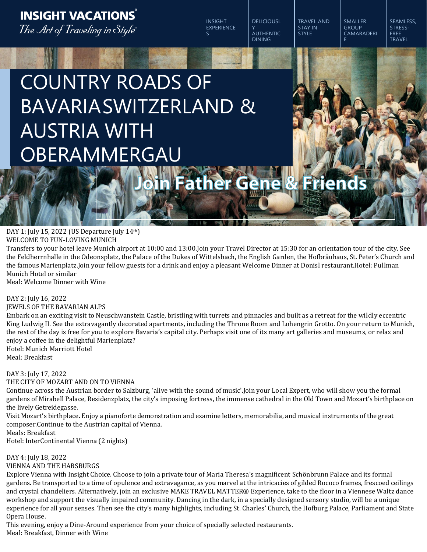### **INSIGHT VACATIONS** The Art of Traveling in Style"

INSIGHT EXPERIENCE S

DELICIOUSL Y AUTHENTIC DINING

TRAVEL AND STAY IN **STYLE** E

SMALLER **GROUP** CAMARADERI SEAMLESS, STRESS-FREE TRAVEL

# COUNTRY ROADS OF BAVARIASWITZERLAND & AUSTRIA WITH OBERAMMERGAU

## **Friends**

DAY 1: July 15, 2022 (US Departure July 14th) WELCOME TO FUN-LOVING MUNICH

Transfers to your hotel leave Munich airport at 10:00 and 13:00.Join your Travel Director at 15:30 for an orientation tour of the city. See the Feldherrnhalle in the Odeonsplatz, the Palace of the Dukes of Wittelsbach, the English Garden, the Hofbräuhaus, St. Peter's Church and the famous Marienplatz.Join your fellow guests for a drink and enjoy a pleasant Welcome Dinner at Donisl restaurant.Hotel: Pullman Munich Hotel or similar

Meal: Welcome Dinner with Wine

#### DAY 2: July 16, 2022

#### JEWELS OF THE BAVARIAN ALPS

Embark on an exciting visit to Neuschwanstein Castle, bristling with turrets and pinnacles and built as a retreat for the wildly eccentric King Ludwig II. See the extravagantly decorated apartments, including the Throne Room and Lohengrin Grotto. On your return to Munich, the rest of the day is free for you to explore Bavaria's capital city. Perhaps visit one of its many art galleries and museums, or relax and enjoy a coffee in the delightful Marienplatz?

Hotel: Munich Marriott Hotel Meal: Breakfast

#### DAY 3: July 17, 2022

THE CITY OF MOZART AND ON TO VIENNA

Continue across the Austrian border to Salzburg, 'alive with the sound of music'.Join your Local Expert, who will show you the formal gardens of Mirabell Palace, Residenzplatz, the city's imposing fortress, the immense cathedral in the Old Town and Mozart's birthplace on the lively Getreidegasse.

Visit Mozart's birthplace. Enjoy a pianoforte demonstration and examine letters, memorabilia, and musical instruments of the great composer.Continue to the Austrian capital of Vienna.

Meals: Breakfast

Hotel: InterContinental Vienna (2 nights)

#### DAY 4: July 18, 2022

VIENNA AND THE HABSBURGS

Explore Vienna with Insight Choice. Choose to join a private tour of Maria Theresa's magnificent Schönbrunn Palace and its formal gardens. Be transported to a time of opulence and extravagance, as you marvel at the intricacies of gilded Rococo frames, frescoed ceilings and crystal chandeliers. Alternatively, join an exclusive MAKE TRAVEL MATTER® Experience, take to the floor in a Viennese Waltz dance workshop and support the visually impaired community. Dancing in the dark, in a specially designed sensory studio, will be a unique experience for all your senses. Then see the city's many highlights, including St. Charles' Church, the Hofburg Palace, Parliament and State Opera House.

This evening, enjoy a Dine-Around experience from your choice of specially selected restaurants. Meal: Breakfast, Dinner with Wine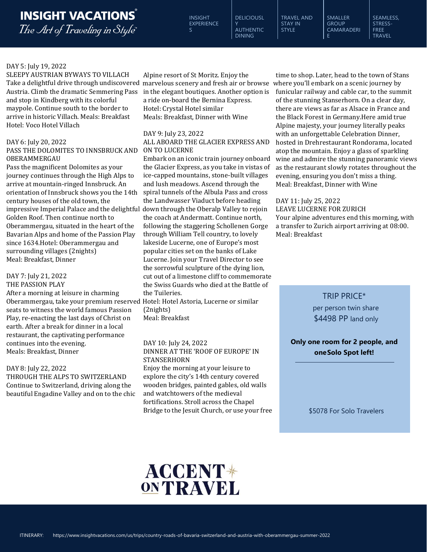### **INSIGHT VACATIONS**

The Art of Traveling in Style"

INSIGHT EXPERIENCE  $\mathbf{S}$ 

DELICIOUSL Y AUTHENTIC DINING

TRAVEL AND STAY IN **STYLE** 

CAMARADERI SEAMLESS, STRESS-FREE **TRAVEL** 

SMALLER **GROUP** 

E

#### DAY 5: July 19, 2022

Take a delightful drive through undiscovered marvelous scenery and fresh air or browse where you'll embark on a scenic journey by Austria. Climb the dramatic Semmering Pass and stop in Kindberg with its colorful maypole. Continue south to the border to arrive in historic Villach. Meals: Breakfast Hotel: Voco Hotel Villach

#### DAY 6: July 20, 2022

#### PASS THE DOLOMITES TO INNSBRUCK AND ON TO LUCERNE OBERAMMERGAU

Pass the magnificent Dolomites as your journey continues through the High Alps to arrive at mountain-ringed Innsbruck. An orientation of Innsbruck shows you the 14th century houses of the old town, the impressive Imperial Palace and the delightful down through the Oberalp Valley to rejoin LEAVE LUCERNE FOR ZURICH Golden Roof. Then continue north to Oberammergau, situated in the heart of the Bavarian Alps and home of the Passion Play since 1634.Hotel: Oberammergau and surrounding villages (2nights) Meal: Breakfast, Dinner

#### DAY 7: July 21, 2022 THE PASSION PLAY

After a morning at leisure in charming Oberammergau, take your premium reserved Hotel: Hotel Astoria, Lucerne or similar seats to witness the world famous Passion Play, re-enacting the last days of Christ on earth. After a break for dinner in a local restaurant, the captivating performance continues into the evening. Meals: Breakfast, Dinner

#### DAY 8: July 22, 2022

THROUGH THE ALPS TO SWITZERLAND Continue to Switzerland, driving along the beautiful Engadine Valley and on to the chic in the elegant boutiques. Another option is a ride on-board the Bernina Express. Hotel: Crystal Hotel similar Meals: Breakfast, Dinner with Wine

#### DAY 9: July 23, 2022

ALL ABOARD THE GLACIER EXPRESS AND

Embark on an iconic train journey onboard the Glacier Express, as you take in vistas of ice-capped mountains, stone-built villages and lush meadows. Ascend through the spiral tunnels of the Albula Pass and cross the Landwasser Viaduct before heading the coach at Andermatt. Continue north, following the staggering Schollenen Gorge through William Tell country, to lovely lakeside Lucerne, one of Europe's most popular cities set on the banks of Lake Lucerne. Join your Travel Director to see the sorrowful sculpture of the dying lion, cut out of a limestone cliff to commemorate the Swiss Guards who died at the Battle of the Tuileries.

(2nights) Meal: Breakfast

#### DAY 10: July 24, 2022

#### DINNER AT THE 'ROOF OF EUROPE' IN STANSERHORN

Enjoy the morning at your leisure to explore the city's 14th century covered wooden bridges, painted gables, old walls and watchtowers of the medieval fortifications. Stroll across the Chapel Bridge to the Jesuit Church, or use your free

SLEEPY AUSTRIAN BYWAYS TO VILLACH Alpine resort of St Moritz. Enjoy the time to shop. Later, head to the town of Stans funicular railway and cable car, to the summit of the stunning Stanserhorn. On a clear day, there are views as far as Alsace in France and the Black Forest in Germany.Here amid true Alpine majesty, your journey literally peaks with an unforgettable Celebration Dinner, hosted in Drehrestaurant Rondorama, located atop the mountain. Enjoy a glass of sparkling wine and admire the stunning panoramic views as the restaurant slowly rotates throughout the evening, ensuring you don't miss a thing. Meal: Breakfast, Dinner with Wine

> DAY 11: July 25, 2022 Your alpine adventures end this morning, with a transfer to Zurich airport arriving at 08:00. Meal: Breakfast

#### TRIP PRICE\*

per person twin share \$4498 PP land only

**Only one room for 2 people, and oneSolo Spot left!**

\$5078 For Solo Travelers

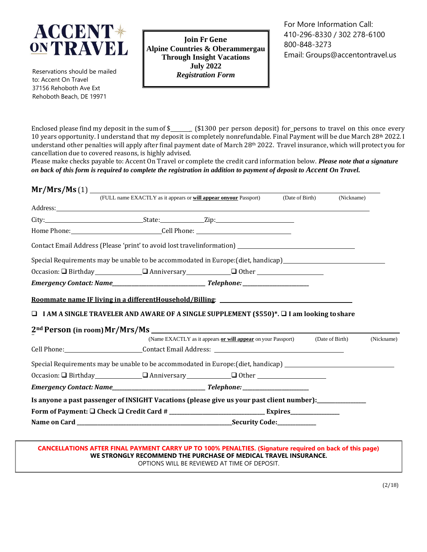

Reservations should be mailed to: Accent On Travel 37156 Rehoboth Ave Ext Rehoboth Beach, DE 19971

**Join Fr Gene Alpine Countries & Oberammergau Through Insight Vacations July 2022** *Registration Form*

For More Information Call: 410-296-8330 / 302 278-6100 800-848-3273 Email: [Groups@accentontravel.us](mailto:Groups@accentontravel.us)

Enclosed please find my deposit in the sum of \$\_\_\_\_\_\_ (\$1300 per person deposit) for\_persons to travel on this once every 10 years opportunity. I understand that my deposit is completely nonrefundable. Final Payment will be due March 28<sup>th</sup> 2022. I understand other penalties will apply after final payment date of March 28<sup>th</sup> 2022. Travel insurance, which will protect you for cancellation due to covered reasons, is highly advised.

Please make checks payable to: Accent On Travel or complete the credit card information below. *Please note that a signature* on back of this form is required to complete the registration in addition to payment of deposit to Accent On Travel.

|  | (FULL name EXACTLY as it appears or <b>will appear onyour</b> Passport)                                                                                                                                                              |                                                              | (Date of Birth) | (Nickname)      |            |
|--|--------------------------------------------------------------------------------------------------------------------------------------------------------------------------------------------------------------------------------------|--------------------------------------------------------------|-----------------|-----------------|------------|
|  | Address: <u>The Community of the Community of the Community of the Community of the Community of the Community of the Community of the Community of the Community of the Community of the Community of the Community of the Comm</u> |                                                              |                 |                 |            |
|  |                                                                                                                                                                                                                                      |                                                              |                 |                 |            |
|  | Home Phone: _________________________________Cell Phone: ________________________                                                                                                                                                    |                                                              |                 |                 |            |
|  | Contact Email Address (Please 'print' to avoid lost travelinformation) _____________________________                                                                                                                                 |                                                              |                 |                 |            |
|  | Special Requirements may be unable to be accommodated in Europe: (diet, handicap)<br>Special Requirements may be unable to be accommodated in Europe: (diet, handicap)                                                               |                                                              |                 |                 |            |
|  |                                                                                                                                                                                                                                      |                                                              |                 |                 |            |
|  |                                                                                                                                                                                                                                      |                                                              |                 |                 |            |
|  | Roommate name IF living in a differentHousehold/Billing: ________________________                                                                                                                                                    |                                                              |                 |                 |            |
|  | $\Box$ I AM A SINGLE TRAVELER AND AWARE OF A SINGLE SUPPLEMENT (\$550)*. $\Box$ I am looking to share                                                                                                                                |                                                              |                 |                 |            |
|  |                                                                                                                                                                                                                                      |                                                              |                 |                 |            |
|  |                                                                                                                                                                                                                                      | (Name EXACTLY as it appears or will appear on your Passport) |                 | (Date of Birth) | (Nickname) |
|  | Cell Phone: Contact Email Address: Contact Email Address: Contact Email Address: Contact Email Address: Contact Email Address: Contact Email Address: Contact Email Address: Contact Email Address: Contact Email Address: Con       |                                                              |                 |                 |            |
|  | Special Requirements may be unable to be accommodated in Europe: (diet, handicap) ___________________________                                                                                                                        |                                                              |                 |                 |            |
|  |                                                                                                                                                                                                                                      |                                                              |                 |                 |            |
|  |                                                                                                                                                                                                                                      |                                                              |                 |                 |            |
|  | Is anyone a past passenger of INSIGHT Vacations (please give us your past client number):___________                                                                                                                                 |                                                              |                 |                 |            |
|  |                                                                                                                                                                                                                                      |                                                              |                 |                 |            |
|  |                                                                                                                                                                                                                                      |                                                              |                 |                 |            |

**CANCELLATIONS AFTER FINAL PAYMENT CARRY UP TO 100% PENALTIES. (Signature required on back of this page) WE STRONGLY RECOMMEND THE PURCHASE OF MEDICAL TRAVEL INSURANCE.** OPTIONS WILL BE REVIEWED AT TIME OF DEPOSIT.